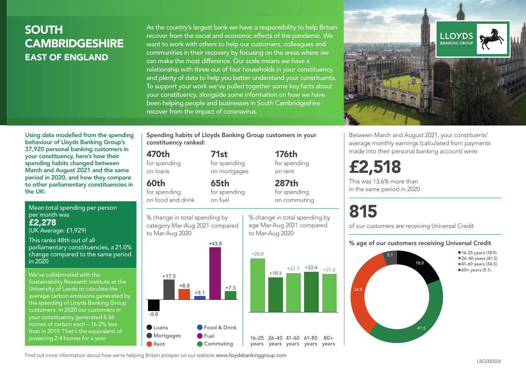# SOUTH **CAMBRIDGESHIRE** EAST OF ENGLAND

As the country's largest bank we have a responsibility to help Britain recover from the social and economic effects of the pandemic. We want to work with others to help our customers, colleagues and communities in their recovery by focusing on the areas where we can make the most difference. Our scale means we have a relationship with three out of four households in your constituency, and plenty of data to help you better understand your constituents. To support your work we've pulled together some key facts about your constituency, alongside some information on how we have been helping people and businesses in South Cambridgeshire recover from the impact of coronavirus.



Mean total spending per person per month was £2,278 (UK Average: £1,929)

This ranks 48th out of all parliamentary constituencies, a 21.0% change compared to the same period in 2020

We've collaborated with the Sustainability Research Institute at the University of Leeds to calculate the average carbon emissions generated by the spending of Lloyds Banking Group customers. In 2020 our customers in your constituency generated 8.86 tonnes of carbon each – 16.2% less than in 2019. That's the equivalent of powering 2.4 homes for a year

Spending habits of Lloyds Banking Group customers in your constituency ranked:

> 71st for spending on mortgages

65th

# 470th

for spending on loans

 $60<sub>th</sub>$ for spending

on food and drink for spending on fuel



176th for spending on rent

287th for spending on commuting

% change in total spending by age Mar-Aug 2021 compared to Mar-Aug 2020



**LLOYDS** BANKING GROU

Between March and August 2021, your constituents' average monthly earnings (calculated from payments made into their personal banking account) were:

# £2,518

This was 13.6% more than in the same period in 2020

# 815

of our customers are receiving Universal Credit

#### % age of our customers receiving Universal Credit



Find out more information about how we're helping Britain prosper on our website www.lloydsbankinggroup.com

-9.6